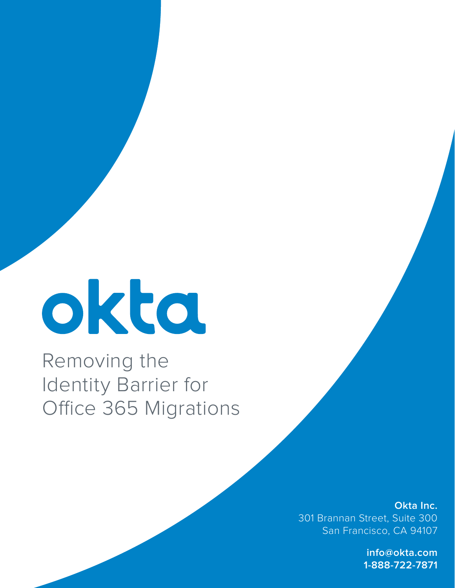# okta

Removing the Identity Barrier for Office 365 Migrations

> **Okta Inc.** 301 Brannan Street, Suite 300 San Francisco, CA 94107

> > **info@okta.com 1-888-722-7871**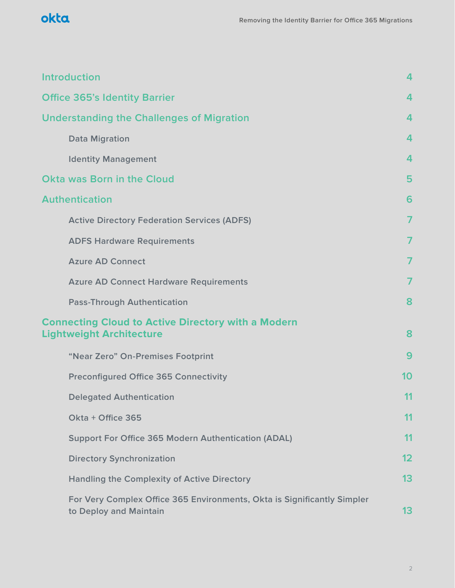

| <b>Introduction</b>                                                                               | $\overline{4}$ |  |
|---------------------------------------------------------------------------------------------------|----------------|--|
| <b>Office 365's Identity Barrier</b>                                                              | 4              |  |
| <b>Understanding the Challenges of Migration</b>                                                  |                |  |
| <b>Data Migration</b>                                                                             | 4              |  |
| <b>Identity Management</b>                                                                        | 4              |  |
| Okta was Born in the Cloud                                                                        | 5              |  |
| <b>Authentication</b>                                                                             | 6              |  |
| <b>Active Directory Federation Services (ADFS)</b>                                                | $\overline{7}$ |  |
| <b>ADFS Hardware Requirements</b>                                                                 | 7              |  |
| <b>Azure AD Connect</b>                                                                           |                |  |
| <b>Azure AD Connect Hardware Requirements</b>                                                     | 7              |  |
| <b>Pass-Through Authentication</b>                                                                | 8              |  |
| <b>Connecting Cloud to Active Directory with a Modern</b><br><b>Lightweight Architecture</b>      | 8              |  |
| "Near Zero" On-Premises Footprint                                                                 | 9              |  |
| <b>Preconfigured Office 365 Connectivity</b>                                                      | 10             |  |
| <b>Delegated Authentication</b>                                                                   | 11             |  |
| Okta + Office 365                                                                                 | 11             |  |
| <b>Support For Office 365 Modern Authentication (ADAL)</b>                                        | 11             |  |
| <b>Directory Synchronization</b>                                                                  | 12             |  |
| <b>Handling the Complexity of Active Directory</b>                                                | 13             |  |
| For Very Complex Office 365 Environments, Okta is Significantly Simpler<br>to Deploy and Maintain | 13             |  |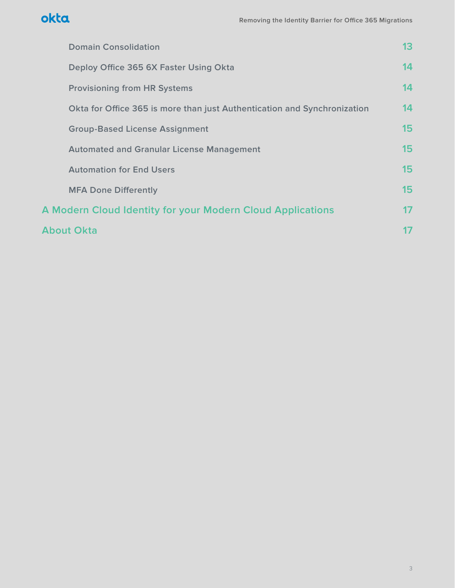

| <b>Domain Consolidation</b>                                              | 13      |
|--------------------------------------------------------------------------|---------|
| Deploy Office 365 6X Faster Using Okta                                   | 14      |
| <b>Provisioning from HR Systems</b>                                      | 14      |
| Okta for Office 365 is more than just Authentication and Synchronization | 14      |
| <b>Group-Based License Assignment</b>                                    | 15      |
| <b>Automated and Granular License Management</b>                         | 15      |
| <b>Automation for End Users</b>                                          | 15      |
| <b>MFA Done Differently</b>                                              | 15      |
| <b>A Modern Cloud Identity for your Modern Cloud Applications</b>        | $17 \,$ |
| <b>About Okta</b>                                                        |         |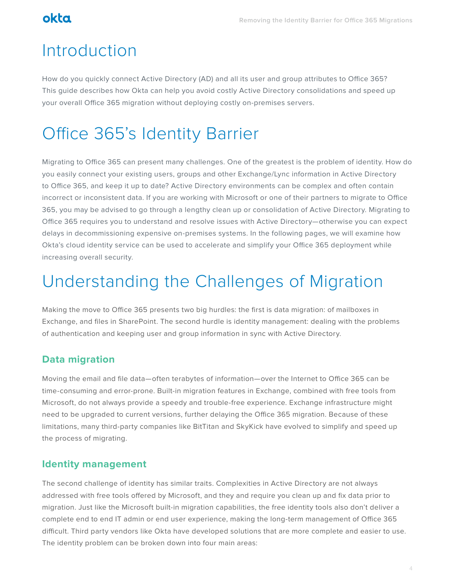# okta

# Introduction

How do you quickly connect Active Directory (AD) and all its user and group attributes to Office 365? This guide describes how Okta can help you avoid costly Active Directory consolidations and speed up your overall Office 365 migration without deploying costly on-premises servers.

# Office 365's Identity Barrier

Migrating to Office 365 can present many challenges. One of the greatest is the problem of identity. How do you easily connect your existing users, groups and other Exchange/Lync information in Active Directory to Office 365, and keep it up to date? Active Directory environments can be complex and often contain incorrect or inconsistent data. If you are working with Microsoft or one of their partners to migrate to Office 365, you may be advised to go through a lengthy clean up or consolidation of Active Directory. Migrating to Office 365 requires you to understand and resolve issues with Active Directory—otherwise you can expect delays in decommissioning expensive on-premises systems. In the following pages, we will examine how Okta's cloud identity service can be used to accelerate and simplify your Office 365 deployment while increasing overall security.

# Understanding the Challenges of Migration

Making the move to Office 365 presents two big hurdles: the first is data migration: of mailboxes in Exchange, and files in SharePoint. The second hurdle is identity management: dealing with the problems of authentication and keeping user and group information in sync with Active Directory.

### **Data migration**

Moving the email and file data—often terabytes of information—over the Internet to Office 365 can be time-consuming and error-prone. Built-in migration features in Exchange, combined with free tools from Microsoft, do not always provide a speedy and trouble-free experience. Exchange infrastructure might need to be upgraded to current versions, further delaying the Office 365 migration. Because of these limitations, many third-party companies like BitTitan and SkyKick have evolved to simplify and speed up the process of migrating.

### **Identity management**

The second challenge of identity has similar traits. Complexities in Active Directory are not always addressed with free tools offered by Microsoft, and they and require you clean up and fix data prior to migration. Just like the Microsoft built-in migration capabilities, the free identity tools also don't deliver a complete end to end IT admin or end user experience, making the long-term management of Office 365 difficult. Third party vendors like Okta have developed solutions that are more complete and easier to use. The identity problem can be broken down into four main areas: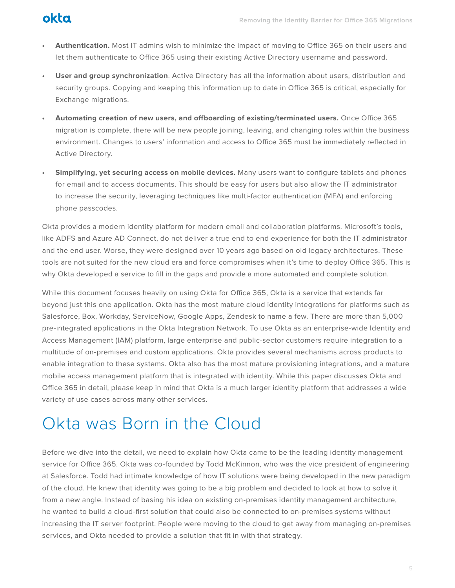

- **• Authentication.** Most IT admins wish to minimize the impact of moving to Office 365 on their users and let them authenticate to Office 365 using their existing Active Directory username and password.
- **• User and group synchronization**. Active Directory has all the information about users, distribution and security groups. Copying and keeping this information up to date in Office 365 is critical, especially for Exchange migrations.
- **• Automating creation of new users, and offboarding of existing/terminated users.** Once Office 365 migration is complete, there will be new people joining, leaving, and changing roles within the business environment. Changes to users' information and access to Office 365 must be immediately reflected in Active Directory.
- **• Simplifying, yet securing access on mobile devices.** Many users want to configure tablets and phones for email and to access documents. This should be easy for users but also allow the IT administrator to increase the security, leveraging techniques like multi-factor authentication (MFA) and enforcing phone passcodes.

Okta provides a modern identity platform for modern email and collaboration platforms. Microsoft's tools, like ADFS and Azure AD Connect, do not deliver a true end to end experience for both the IT administrator and the end user. Worse, they were designed over 10 years ago based on old legacy architectures. These tools are not suited for the new cloud era and force compromises when it's time to deploy Office 365. This is why Okta developed a service to fill in the gaps and provide a more automated and complete solution.

While this document focuses heavily on using Okta for Office 365, Okta is a service that extends far beyond just this one application. Okta has the most mature cloud identity integrations for platforms such as Salesforce, Box, Workday, ServiceNow, Google Apps, Zendesk to name a few. There are more than 5,000 pre-integrated applications in the Okta Integration Network. To use Okta as an enterprise-wide Identity and Access Management (IAM) platform, large enterprise and public-sector customers require integration to a multitude of on-premises and custom applications. Okta provides several mechanisms across products to enable integration to these systems. Okta also has the most mature provisioning integrations, and a mature mobile access management platform that is integrated with identity. While this paper discusses Okta and Office 365 in detail, please keep in mind that Okta is a much larger identity platform that addresses a wide variety of use cases across many other services.

# Okta was Born in the Cloud

Before we dive into the detail, we need to explain how Okta came to be the leading identity management service for Office 365. Okta was co-founded by Todd McKinnon, who was the vice president of engineering at Salesforce. Todd had intimate knowledge of how IT solutions were being developed in the new paradigm of the cloud. He knew that identity was going to be a big problem and decided to look at how to solve it from a new angle. Instead of basing his idea on existing on-premises identity management architecture, he wanted to build a cloud-first solution that could also be connected to on-premises systems without increasing the IT server footprint. People were moving to the cloud to get away from managing on-premises services, and Okta needed to provide a solution that fit in with that strategy.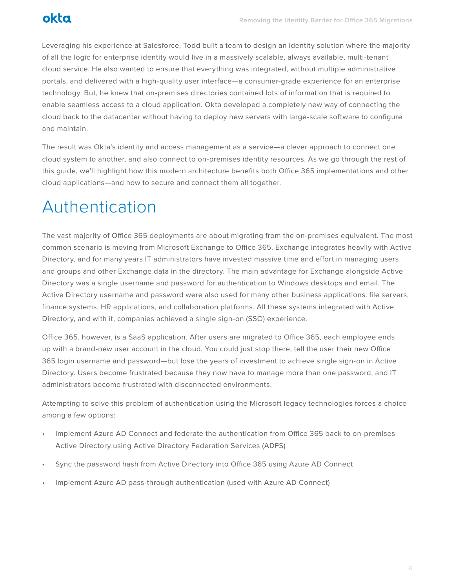Leveraging his experience at Salesforce, Todd built a team to design an identity solution where the majority of all the logic for enterprise identity would live in a massively scalable, always available, multi-tenant cloud service. He also wanted to ensure that everything was integrated, without multiple administrative portals, and delivered with a high-quality user interface—a consumer-grade experience for an enterprise technology. But, he knew that on-premises directories contained lots of information that is required to enable seamless access to a cloud application. Okta developed a completely new way of connecting the cloud back to the datacenter without having to deploy new servers with large-scale software to configure and maintain.

The result was Okta's identity and access management as a service—a clever approach to connect one cloud system to another, and also connect to on-premises identity resources. As we go through the rest of this guide, we'll highlight how this modern architecture benefits both Office 365 implementations and other cloud applications—and how to secure and connect them all together.

# Authentication

The vast majority of Office 365 deployments are about migrating from the on-premises equivalent. The most common scenario is moving from Microsoft Exchange to Office 365. Exchange integrates heavily with Active Directory, and for many years IT administrators have invested massive time and effort in managing users and groups and other Exchange data in the directory. The main advantage for Exchange alongside Active Directory was a single username and password for authentication to Windows desktops and email. The Active Directory username and password were also used for many other business applications: file servers, finance systems, HR applications, and collaboration platforms. All these systems integrated with Active Directory, and with it, companies achieved a single sign-on (SSO) experience.

Office 365, however, is a SaaS application. After users are migrated to Office 365, each employee ends up with a brand-new user account in the cloud. You could just stop there, tell the user their new Office 365 login username and password—but lose the years of investment to achieve single sign-on in Active Directory. Users become frustrated because they now have to manage more than one password, and IT administrators become frustrated with disconnected environments.

Attempting to solve this problem of authentication using the Microsoft legacy technologies forces a choice among a few options:

- Implement Azure AD Connect and federate the authentication from Office 365 back to on-premises Active Directory using Active Directory Federation Services (ADFS)
- Sync the password hash from Active Directory into Office 365 using Azure AD Connect
- Implement Azure AD pass-through authentication (used with Azure AD Connect)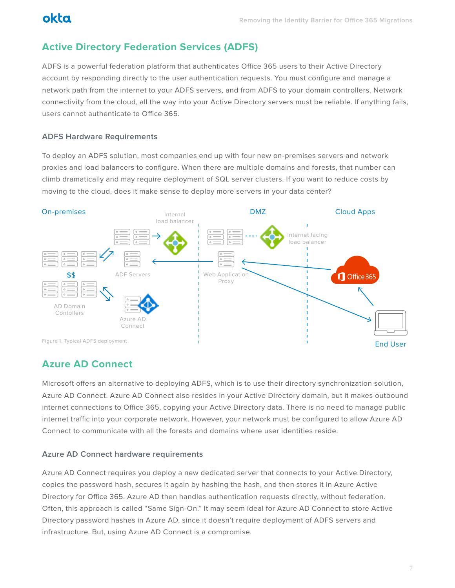# **Active Directory Federation Services (ADFS)**

ADFS is a powerful federation platform that authenticates Office 365 users to their Active Directory account by responding directly to the user authentication requests. You must configure and manage a network path from the internet to your ADFS servers, and from ADFS to your domain controllers. Network connectivity from the cloud, all the way into your Active Directory servers must be reliable. If anything fails, users cannot authenticate to Office 365.

#### **ADFS Hardware Requirements**

To deploy an ADFS solution, most companies end up with four new on-premises servers and network proxies and load balancers to configure. When there are multiple domains and forests, that number can climb dramatically and may require deployment of SQL server clusters. If you want to reduce costs by moving to the cloud, does it make sense to deploy more servers in your data center?



## **Azure AD Connect**

Microsoft offers an alternative to deploying ADFS, which is to use their directory synchronization solution, Azure AD Connect. Azure AD Connect also resides in your Active Directory domain, but it makes outbound internet connections to Office 365, copying your Active Directory data. There is no need to manage public internet traffic into your corporate network. However, your network must be configured to allow Azure AD Connect to communicate with all the forests and domains where user identities reside.

#### **Azure AD Connect hardware requirements**

Azure AD Connect requires you deploy a new dedicated server that connects to your Active Directory, copies the password hash, secures it again by hashing the hash, and then stores it in Azure Active Directory for Office 365. Azure AD then handles authentication requests directly, without federation. Often, this approach is called "Same Sign-On." It may seem ideal for Azure AD Connect to store Active Directory password hashes in Azure AD, since it doesn't require deployment of ADFS servers and infrastructure. But, using Azure AD Connect is a compromise.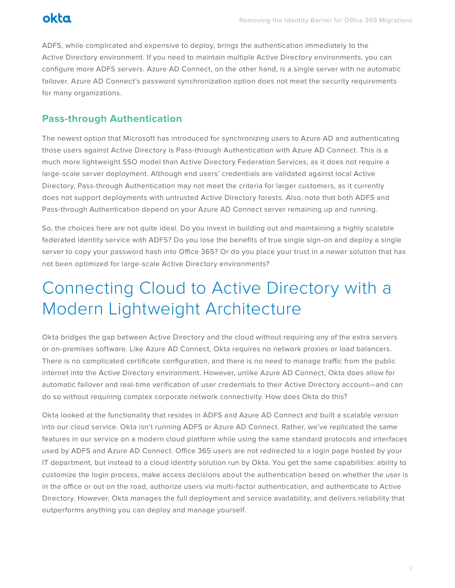

ADFS, while complicated and expensive to deploy, brings the authentication immediately to the Active Directory environment. If you need to maintain multiple Active Directory environments, you can configure more ADFS servers. Azure AD Connect, on the other hand, is a single server with no automatic failover. Azure AD Connect's password synchronization option does not meet the security requirements for many organizations.

#### **Pass-through Authentication**

The newest option that Microsoft has introduced for synchronizing users to Azure AD and authenticating those users against Active Directory is Pass-through Authentication with Azure AD Connect. This is a much more lightweight SSO model than Active Directory Federation Services, as it does not require a large-scale server deployment. Although end users' credentials are validated against local Active Directory, Pass-through Authentication may not meet the criteria for larger customers, as it currently does not support deployments with untrusted Active Directory forests. Also, note that both ADFS and Pass-through Authentication depend on your Azure AD Connect server remaining up and running.

So, the choices here are not quite ideal. Do you invest in building out and maintaining a highly scalable federated identity service with ADFS? Do you lose the benefits of true single sign-on and deploy a single server to copy your password hash into Office 365? Or do you place your trust in a newer solution that has not been optimized for large-scale Active Directory environments?

# Connecting Cloud to Active Directory with a Modern Lightweight Architecture

Okta bridges the gap between Active Directory and the cloud without requiring any of the extra servers or on-premises software. Like Azure AD Connect, Okta requires no network proxies or load balancers. There is no complicated certificate configuration, and there is no need to manage traffic from the public internet into the Active Directory environment. However, unlike Azure AD Connect, Okta does allow for automatic failover and real-time verification of user credentials to their Active Directory account—and can do so without requiring complex corporate network connectivity. How does Okta do this?

Okta looked at the functionality that resides in ADFS and Azure AD Connect and built a scalable version into our cloud service. Okta isn't running ADFS or Azure AD Connect. Rather, we've replicated the same features in our service on a modern cloud platform while using the same standard protocols and interfaces used by ADFS and Azure AD Connect. Office 365 users are not redirected to a login page hosted by your IT department, but instead to a cloud identity solution run by Okta. You get the same capabilities: ability to customize the login process, make access decisions about the authentication based on whether the user is in the office or out on the road, authorize users via multi-factor authentication, and authenticate to Active Directory. However, Okta manages the full deployment and service availability, and delivers reliability that outperforms anything you can deploy and manage yourself.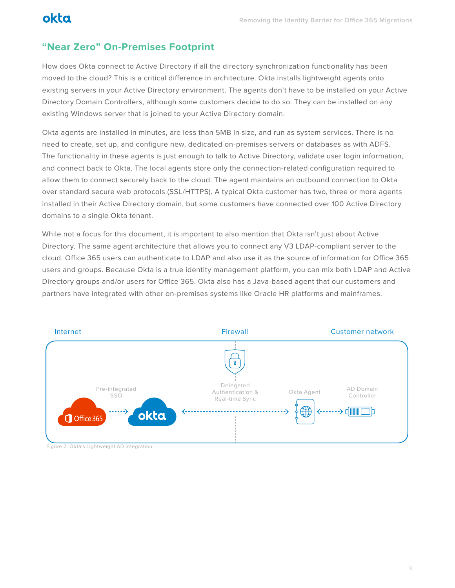## **"Near Zero" On-Premises Footprint**

How does Okta connect to Active Directory if all the directory synchronization functionality has been moved to the cloud? This is a critical difference in architecture. Okta installs lightweight agents onto existing servers in your Active Directory environment. The agents don't have to be installed on your Active Directory Domain Controllers, although some customers decide to do so. They can be installed on any existing Windows server that is joined to your Active Directory domain.

Okta agents are installed in minutes, are less than 5MB in size, and run as system services. There is no need to create, set up, and configure new, dedicated on-premises servers or databases as with ADFS. The functionality in these agents is just enough to talk to Active Directory, validate user login information, and connect back to Okta. The local agents store only the connection-related configuration required to allow them to connect securely back to the cloud. The agent maintains an outbound connection to Okta over standard secure web protocols (SSL/HTTPS). A typical Okta customer has two, three or more agents installed in their Active Directory domain, but some customers have connected over 100 Active Directory domains to a single Okta tenant.

While not a focus for this document, it is important to also mention that Okta isn't just about Active Directory. The same agent architecture that allows you to connect any V3 LDAP-compliant server to the cloud. Office 365 users can authenticate to LDAP and also use it as the source of information for Office 365 users and groups. Because Okta is a true identity management platform, you can mix both LDAP and Active Directory groups and/or users for Office 365. Okta also has a Java-based agent that our customers and partners have integrated with other on-premises systems like Oracle HR platforms and mainframes.



Figure 2. Okta's Lightweight AD Integration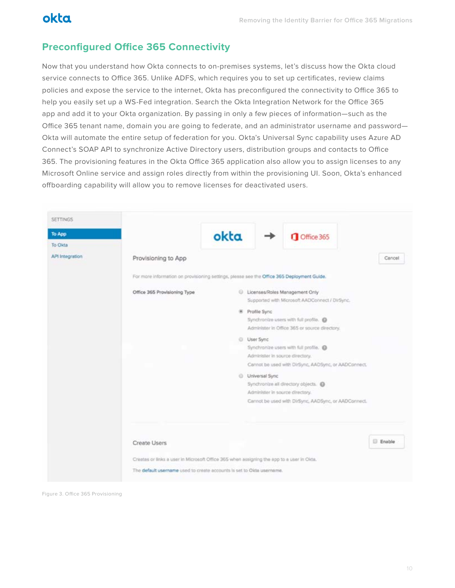## **Preconfigured Office 365 Connectivity**

Now that you understand how Okta connects to on-premises systems, let's discuss how the Okta cloud service connects to Office 365. Unlike ADFS, which requires you to set up certificates, review claims policies and expose the service to the internet, Okta has preconfigured the connectivity to Office 365 to help you easily set up a WS-Fed integration. Search the Okta Integration Network for the Office 365 app and add it to your Okta organization. By passing in only a few pieces of information—such as the Office 365 tenant name, domain you are going to federate, and an administrator username and password— Okta will automate the entire setup of federation for you. Okta's Universal Sync capability uses Azure AD Connect's SOAP API to synchronize Active Directory users, distribution groups and contacts to Office 365. The provisioning features in the Okta Office 365 application also allow you to assign licenses to any Microsoft Online service and assign roles directly from within the provisioning UI. Soon, Okta's enhanced offboarding capability will allow you to remove licenses for deactivated users.

|                                                                                            | okta |                                                     | Office 365                                                                              |                                                                                           |
|--------------------------------------------------------------------------------------------|------|-----------------------------------------------------|-----------------------------------------------------------------------------------------|-------------------------------------------------------------------------------------------|
|                                                                                            |      |                                                     |                                                                                         |                                                                                           |
| Provisioning to App                                                                        |      |                                                     |                                                                                         | Cancel                                                                                    |
| For more information on provisioning settings, please see the Office 365 Deployment Guide. |      |                                                     |                                                                                         |                                                                                           |
| Office 365 Provisioning Type                                                               |      |                                                     | C Licenses/Roles Management Only<br>Supported with Microsoft AADConnect / DirSync.      |                                                                                           |
|                                                                                            |      | <b>W</b> Profile Sync                               | Synchronize users with full profile.<br>Administer in Office 365 or source directory.   |                                                                                           |
|                                                                                            |      | User Sync                                           | Synchronize users with full profile.                                                    |                                                                                           |
|                                                                                            |      |                                                     | Administer in source directory.<br>Cannot be used with DirSync, AADSync, or AADConnect. |                                                                                           |
|                                                                                            |      | @ Universal Sync<br>Administer in source directory. | Synchronize all directory objects.                                                      |                                                                                           |
|                                                                                            |      |                                                     | Cannot be used with DirSync, AADSync, or AADConnect.                                    |                                                                                           |
| Create Users                                                                               |      |                                                     |                                                                                         | <b>Enable</b>                                                                             |
|                                                                                            |      |                                                     |                                                                                         |                                                                                           |
|                                                                                            |      |                                                     |                                                                                         | Creates or links a user in Microsoft Office 365 when assigning the app to a user in Okta. |

Figure 3. Office 365 Provisioning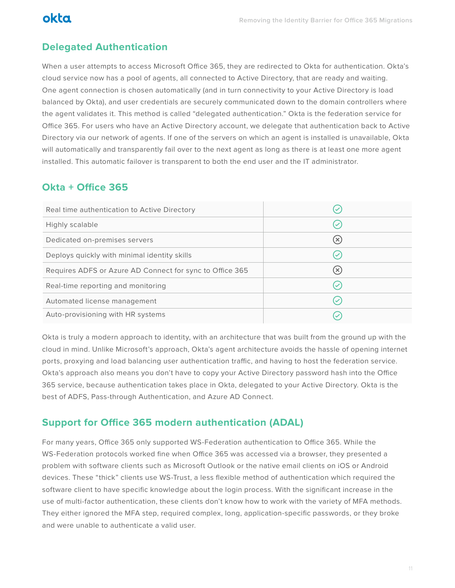## **Delegated Authentication**

When a user attempts to access Microsoft Office 365, they are redirected to Okta for authentication. Okta's cloud service now has a pool of agents, all connected to Active Directory, that are ready and waiting. One agent connection is chosen automatically (and in turn connectivity to your Active Directory is load balanced by Okta), and user credentials are securely communicated down to the domain controllers where the agent validates it. This method is called "delegated authentication." Okta is the federation service for Office 365. For users who have an Active Directory account, we delegate that authentication back to Active Directory via our network of agents. If one of the servers on which an agent is installed is unavailable, Okta will automatically and transparently fail over to the next agent as long as there is at least one more agent installed. This automatic failover is transparent to both the end user and the IT administrator.

## **Okta + Office 365**

| Real time authentication to Active Directory             |              |
|----------------------------------------------------------|--------------|
| Highly scalable                                          |              |
| Dedicated on-premises servers                            | $(\times)$   |
| Deploys quickly with minimal identity skills             |              |
| Requires ADFS or Azure AD Connect for sync to Office 365 | $(\times)$   |
| Real-time reporting and monitoring                       | $\checkmark$ |
| Automated license management                             |              |
| Auto-provisioning with HR systems                        |              |

Okta is truly a modern approach to identity, with an architecture that was built from the ground up with the cloud in mind. Unlike Microsoft's approach, Okta's agent architecture avoids the hassle of opening internet ports, proxying and load balancing user authentication traffic, and having to host the federation service. Okta's approach also means you don't have to copy your Active Directory password hash into the Office 365 service, because authentication takes place in Okta, delegated to your Active Directory. Okta is the best of ADFS, Pass-through Authentication, and Azure AD Connect.

### **Support for Office 365 modern authentication (ADAL)**

For many years, Office 365 only supported WS-Federation authentication to Office 365. While the WS-Federation protocols worked fine when Office 365 was accessed via a browser, they presented a problem with software clients such as Microsoft Outlook or the native email clients on iOS or Android devices. These "thick" clients use WS-Trust, a less flexible method of authentication which required the software client to have specific knowledge about the login process. With the significant increase in the use of multi-factor authentication, these clients don't know how to work with the variety of MFA methods. They either ignored the MFA step, required complex, long, application-specific passwords, or they broke and were unable to authenticate a valid user.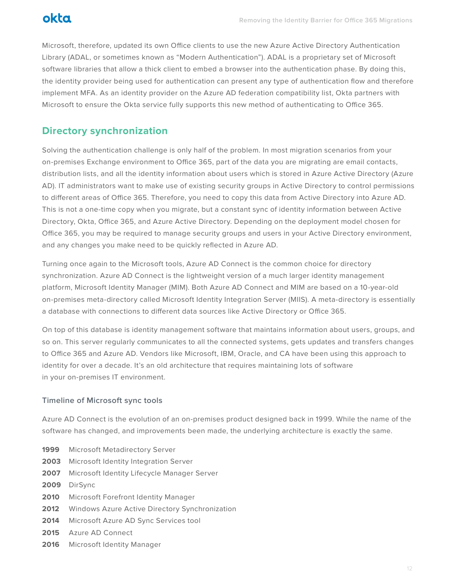

Microsoft, therefore, updated its own Office clients to use the new Azure Active Directory Authentication Library (ADAL, or sometimes known as "Modern Authentication"). ADAL is a proprietary set of Microsoft software libraries that allow a thick client to embed a browser into the authentication phase. By doing this, the identity provider being used for authentication can present any type of authentication flow and therefore implement MFA. As an identity provider on the Azure AD federation compatibility list, Okta partners with Microsoft to ensure the Okta service fully supports this new method of authenticating to Office 365.

### **Directory synchronization**

Solving the authentication challenge is only half of the problem. In most migration scenarios from your on-premises Exchange environment to Office 365, part of the data you are migrating are email contacts, distribution lists, and all the identity information about users which is stored in Azure Active Directory (Azure AD). IT administrators want to make use of existing security groups in Active Directory to control permissions to different areas of Office 365. Therefore, you need to copy this data from Active Directory into Azure AD. This is not a one-time copy when you migrate, but a constant sync of identity information between Active Directory, Okta, Office 365, and Azure Active Directory. Depending on the deployment model chosen for Office 365, you may be required to manage security groups and users in your Active Directory environment, and any changes you make need to be quickly reflected in Azure AD.

Turning once again to the Microsoft tools, Azure AD Connect is the common choice for directory synchronization. Azure AD Connect is the lightweight version of a much larger identity management platform, Microsoft Identity Manager (MIM). Both Azure AD Connect and MIM are based on a 10-year-old on-premises meta-directory called Microsoft Identity Integration Server (MIIS). A meta-directory is essentially a database with connections to different data sources like Active Directory or Office 365.

On top of this database is identity management software that maintains information about users, groups, and so on. This server regularly communicates to all the connected systems, gets updates and transfers changes to Office 365 and Azure AD. Vendors like Microsoft, IBM, Oracle, and CA have been using this approach to identity for over a decade. It's an old architecture that requires maintaining lots of software in your on-premises IT environment.

#### **Timeline of Microsoft sync tools**

Azure AD Connect is the evolution of an on-premises product designed back in 1999. While the name of the software has changed, and improvements been made, the underlying architecture is exactly the same.

- **1999** Microsoft Metadirectory Server
- **2003** Microsoft Identity Integration Server
- **2007** Microsoft Identity Lifecycle Manager Server
- **2009** DirSync
- **2010** Microsoft Forefront Identity Manager
- **2012** Windows Azure Active Directory Synchronization
- **2014** Microsoft Azure AD Sync Services tool
- **2015** Azure AD Connect
- **2016** Microsoft Identity Manager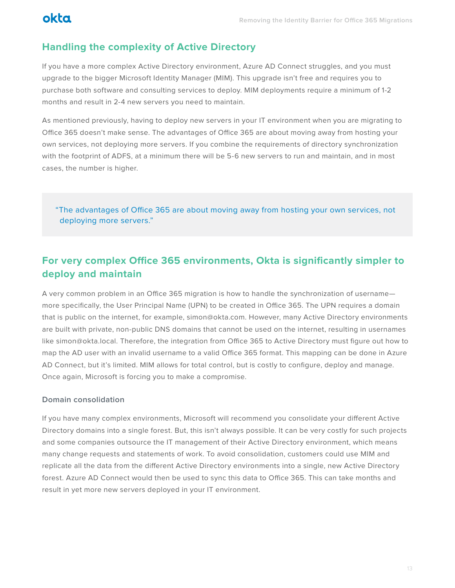## **Handling the complexity of Active Directory**

If you have a more complex Active Directory environment, Azure AD Connect struggles, and you must upgrade to the bigger Microsoft Identity Manager (MIM). This upgrade isn't free and requires you to purchase both software and consulting services to deploy. MIM deployments require a minimum of 1-2 months and result in 2-4 new servers you need to maintain.

As mentioned previously, having to deploy new servers in your IT environment when you are migrating to Office 365 doesn't make sense. The advantages of Office 365 are about moving away from hosting your own services, not deploying more servers. If you combine the requirements of directory synchronization with the footprint of ADFS, at a minimum there will be 5-6 new servers to run and maintain, and in most cases, the number is higher.

"The advantages of Office 365 are about moving away from hosting your own services, not deploying more servers."

## **For very complex Office 365 environments, Okta is significantly simpler to deploy and maintain**

A very common problem in an Office 365 migration is how to handle the synchronization of username more specifically, the User Principal Name (UPN) to be created in Office 365. The UPN requires a domain that is public on the internet, for example, simon@okta.com. However, many Active Directory environments are built with private, non-public DNS domains that cannot be used on the internet, resulting in usernames like simon@okta.local. Therefore, the integration from Office 365 to Active Directory must figure out how to map the AD user with an invalid username to a valid Office 365 format. This mapping can be done in Azure AD Connect, but it's limited. MIM allows for total control, but is costly to configure, deploy and manage. Once again, Microsoft is forcing you to make a compromise.

#### **Domain consolidation**

If you have many complex environments, Microsoft will recommend you consolidate your different Active Directory domains into a single forest. But, this isn't always possible. It can be very costly for such projects and some companies outsource the IT management of their Active Directory environment, which means many change requests and statements of work. To avoid consolidation, customers could use MIM and replicate all the data from the different Active Directory environments into a single, new Active Directory forest. Azure AD Connect would then be used to sync this data to Office 365. This can take months and result in yet more new servers deployed in your IT environment.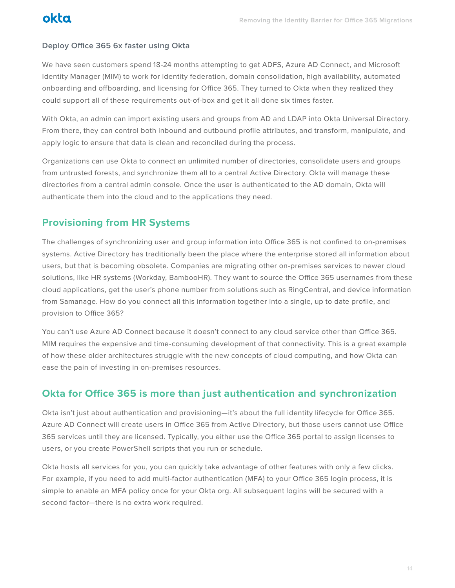#### **Deploy Office 365 6x faster using Okta**

We have seen customers spend 18-24 months attempting to get ADFS, Azure AD Connect, and Microsoft Identity Manager (MIM) to work for identity federation, domain consolidation, high availability, automated onboarding and offboarding, and licensing for Office 365. They turned to Okta when they realized they could support all of these requirements out-of-box and get it all done six times faster.

With Okta, an admin can import existing users and groups from AD and LDAP into Okta Universal Directory. From there, they can control both inbound and outbound profile attributes, and transform, manipulate, and apply logic to ensure that data is clean and reconciled during the process.

Organizations can use Okta to connect an unlimited number of directories, consolidate users and groups from untrusted forests, and synchronize them all to a central Active Directory. Okta will manage these directories from a central admin console. Once the user is authenticated to the AD domain, Okta will authenticate them into the cloud and to the applications they need.

### **Provisioning from HR Systems**

The challenges of synchronizing user and group information into Office 365 is not confined to on-premises systems. Active Directory has traditionally been the place where the enterprise stored all information about users, but that is becoming obsolete. Companies are migrating other on-premises services to newer cloud solutions, like HR systems (Workday, BambooHR). They want to source the Office 365 usernames from these cloud applications, get the user's phone number from solutions such as RingCentral, and device information from Samanage. How do you connect all this information together into a single, up to date profile, and provision to Office 365?

You can't use Azure AD Connect because it doesn't connect to any cloud service other than Office 365. MIM requires the expensive and time-consuming development of that connectivity. This is a great example of how these older architectures struggle with the new concepts of cloud computing, and how Okta can ease the pain of investing in on-premises resources.

### **Okta for Office 365 is more than just authentication and synchronization**

Okta isn't just about authentication and provisioning—it's about the full identity lifecycle for Office 365. Azure AD Connect will create users in Office 365 from Active Directory, but those users cannot use Office 365 services until they are licensed. Typically, you either use the Office 365 portal to assign licenses to users, or you create PowerShell scripts that you run or schedule.

Okta hosts all services for you, you can quickly take advantage of other features with only a few clicks. For example, if you need to add multi-factor authentication (MFA) to your Office 365 login process, it is simple to enable an MFA policy once for your Okta org. All subsequent logins will be secured with a second factor—there is no extra work required.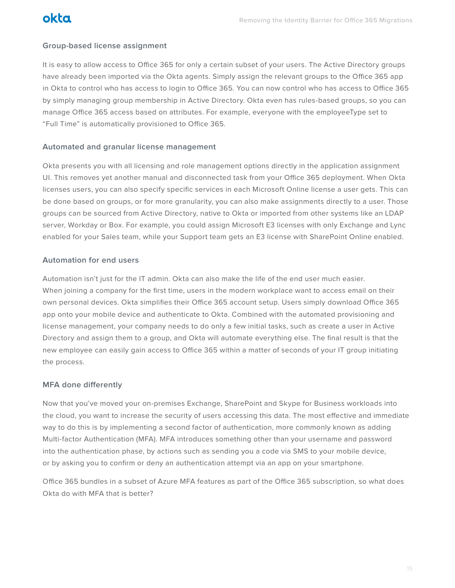

#### **Group-based license assignment**

It is easy to allow access to Office 365 for only a certain subset of your users. The Active Directory groups have already been imported via the Okta agents. Simply assign the relevant groups to the Office 365 app in Okta to control who has access to login to Office 365. You can now control who has access to Office 365 by simply managing group membership in Active Directory. Okta even has rules-based groups, so you can manage Office 365 access based on attributes. For example, everyone with the employeeType set to "Full Time" is automatically provisioned to Office 365.

#### **Automated and granular license management**

Okta presents you with all licensing and role management options directly in the application assignment UI. This removes yet another manual and disconnected task from your Office 365 deployment. When Okta licenses users, you can also specify specific services in each Microsoft Online license a user gets. This can be done based on groups, or for more granularity, you can also make assignments directly to a user. Those groups can be sourced from Active Directory, native to Okta or imported from other systems like an LDAP server, Workday or Box. For example, you could assign Microsoft E3 licenses with only Exchange and Lync enabled for your Sales team, while your Support team gets an E3 license with SharePoint Online enabled.

#### **Automation for end users**

Automation isn't just for the IT admin. Okta can also make the life of the end user much easier. When joining a company for the first time, users in the modern workplace want to access email on their own personal devices. Okta simplifies their Office 365 account setup. Users simply download Office 365 app onto your mobile device and authenticate to Okta. Combined with the automated provisioning and license management, your company needs to do only a few initial tasks, such as create a user in Active Directory and assign them to a group, and Okta will automate everything else. The final result is that the new employee can easily gain access to Office 365 within a matter of seconds of your IT group initiating the process.

#### **MFA done differently**

Now that you've moved your on-premises Exchange, SharePoint and Skype for Business workloads into the cloud, you want to increase the security of users accessing this data. The most effective and immediate way to do this is by implementing a second factor of authentication, more commonly known as adding Multi-factor Authentication (MFA). MFA introduces something other than your username and password into the authentication phase, by actions such as sending you a code via SMS to your mobile device, or by asking you to confirm or deny an authentication attempt via an app on your smartphone.

Office 365 bundles in a subset of Azure MFA features as part of the Office 365 subscription, so what does Okta do with MFA that is better?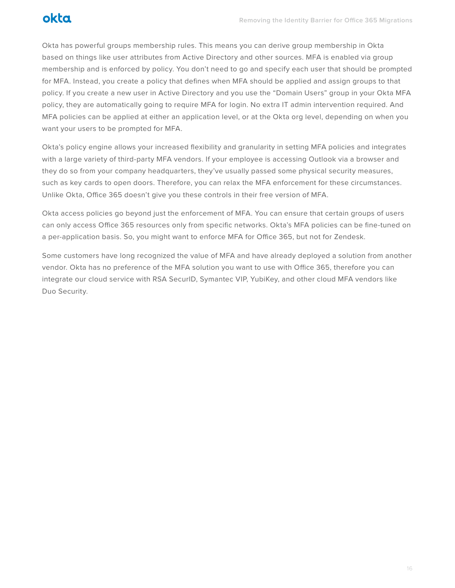Okta has powerful groups membership rules. This means you can derive group membership in Okta based on things like user attributes from Active Directory and other sources. MFA is enabled via group membership and is enforced by policy. You don't need to go and specify each user that should be prompted for MFA. Instead, you create a policy that defines when MFA should be applied and assign groups to that policy. If you create a new user in Active Directory and you use the "Domain Users" group in your Okta MFA policy, they are automatically going to require MFA for login. No extra IT admin intervention required. And MFA policies can be applied at either an application level, or at the Okta org level, depending on when you want your users to be prompted for MFA.

Okta's policy engine allows your increased flexibility and granularity in setting MFA policies and integrates with a large variety of third-party MFA vendors. If your employee is accessing Outlook via a browser and they do so from your company headquarters, they've usually passed some physical security measures, such as key cards to open doors. Therefore, you can relax the MFA enforcement for these circumstances. Unlike Okta, Office 365 doesn't give you these controls in their free version of MFA.

Okta access policies go beyond just the enforcement of MFA. You can ensure that certain groups of users can only access Office 365 resources only from specific networks. Okta's MFA policies can be fine-tuned on a per-application basis. So, you might want to enforce MFA for Office 365, but not for Zendesk.

Some customers have long recognized the value of MFA and have already deployed a solution from another vendor. Okta has no preference of the MFA solution you want to use with Office 365, therefore you can integrate our cloud service with RSA SecurID, Symantec VIP, YubiKey, and other cloud MFA vendors like Duo Security.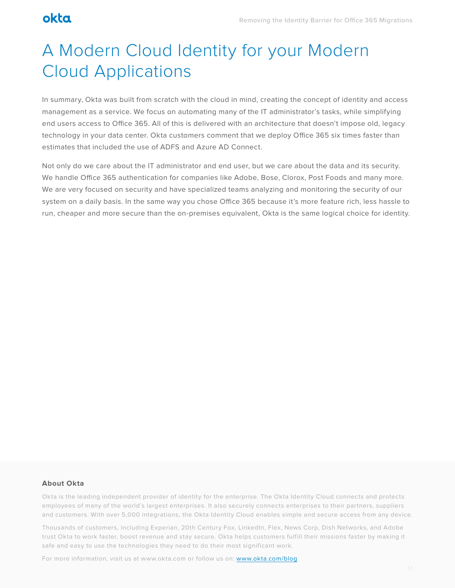# A Modern Cloud Identity for your Modern Cloud Applications

In summary, Okta was built from scratch with the cloud in mind, creating the concept of identity and access management as a service. We focus on automating many of the IT administrator's tasks, while simplifying end users access to Office 365. All of this is delivered with an architecture that doesn't impose old, legacy technology in your data center. Okta customers comment that we deploy Office 365 six times faster than estimates that included the use of ADFS and Azure AD Connect.

Not only do we care about the IT administrator and end user, but we care about the data and its security. We handle Office 365 authentication for companies like Adobe, Bose, Clorox, Post Foods and many more. We are very focused on security and have specialized teams analyzing and monitoring the security of our system on a daily basis. In the same way you chose Office 365 because it's more feature rich, less hassle to run, cheaper and more secure than the on-premises equivalent, Okta is the same logical choice for identity.

#### **About Okta**

Okta is the leading independent provider of identity for the enterprise. The Okta Identity Cloud connects and protects employees of many of the world's largest enterprises. It also securely connects enterprises to their partners, suppliers and customers. With over 5,000 integrations, the Okta Identity Cloud enables simple and secure access from any device.

Thousands of customers, including Experian, 20th Century Fox, LinkedIn, Flex, News Corp, Dish Networks, and Adobe trust Okta to work faster, boost revenue and stay secure. Okta helps customers fulfill their missions faster by making it safe and easy to use the technologies they need to do their most significant work.

For more information, visit us at www.okta.com or follow us on: [www.okta.com/blog](http://www.okta.com/blog)